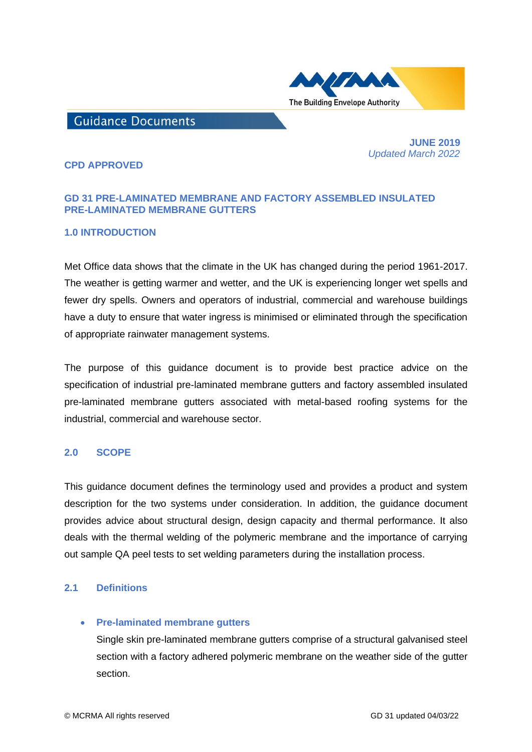

# **Guidance Documents**

 **JUNE 2019**  *Updated March 2022*

# **CPD APPROVED**

# **GD 31 PRE-LAMINATED MEMBRANE AND FACTORY ASSEMBLED INSULATED PRE-LAMINATED MEMBRANE GUTTERS**

# **1.0 INTRODUCTION**

Met Office data shows that the climate in the UK has changed during the period 1961-2017. The [weather](https://www.statista.com/chart/15977/how-the-uks-climate-has-changed/) is getting warmer and wetter, and the UK is experiencing longer wet spells and fewer dry spells. Owners and operators of industrial, commercial and warehouse buildings have a duty to ensure that water ingress is minimised or eliminated through the specification of appropriate rainwater management systems.

The purpose of this guidance document is to provide best practice advice on the specification of industrial pre-laminated membrane gutters and factory assembled insulated pre-laminated membrane gutters associated with metal-based roofing systems for the industrial, commercial and warehouse sector.

# **2.0 SCOPE**

This guidance document defines the terminology used and provides a product and system description for the two systems under consideration. In addition, the guidance document provides advice about structural design, design capacity and thermal performance. It also deals with the thermal welding of the polymeric membrane and the importance of carrying out sample QA peel tests to set welding parameters during the installation process.

# **2.1 Definitions**

### • **Pre-laminated membrane gutters**

Single skin pre-laminated membrane gutters comprise of a structural galvanised steel section with a factory adhered polymeric membrane on the weather side of the gutter section.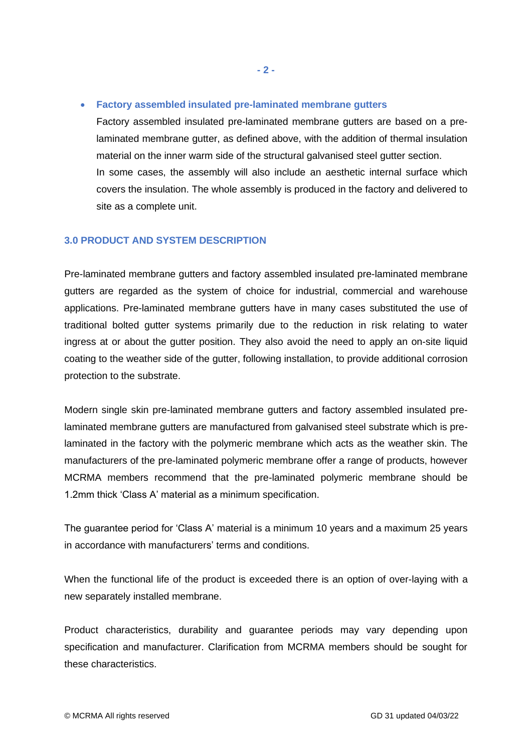• **Factory assembled insulated pre-laminated membrane gutters**

Factory assembled insulated pre-laminated membrane gutters are based on a prelaminated membrane gutter, as defined above, with the addition of thermal insulation material on the inner warm side of the structural galvanised steel gutter section. In some cases, the assembly will also include an aesthetic internal surface which covers the insulation. The whole assembly is produced in the factory and delivered to site as a complete unit.

# **3.0 PRODUCT AND SYSTEM DESCRIPTION**

Pre-laminated membrane gutters and factory assembled insulated pre-laminated membrane gutters are regarded as the system of choice for industrial, commercial and warehouse applications. Pre-laminated membrane gutters have in many cases substituted the use of traditional bolted gutter systems primarily due to the reduction in risk relating to water ingress at or about the gutter position. They also avoid the need to apply an on-site liquid coating to the weather side of the gutter, following installation, to provide additional corrosion protection to the substrate.

Modern single skin pre-laminated membrane gutters and factory assembled insulated prelaminated membrane gutters are manufactured from galvanised steel substrate which is prelaminated in the factory with the polymeric membrane which acts as the weather skin. The manufacturers of the pre-laminated polymeric membrane offer a range of products, however MCRMA members recommend that the pre-laminated polymeric membrane should be 1.2mm thick 'Class A' material as a minimum specification.

The guarantee period for 'Class A' material is a minimum 10 years and a maximum 25 years in accordance with manufacturers' terms and conditions.

When the functional life of the product is exceeded there is an option of over-laying with a new separately installed membrane.

Product characteristics, durability and guarantee periods may vary depending upon specification and manufacturer. Clarification from MCRMA members should be sought for these characteristics.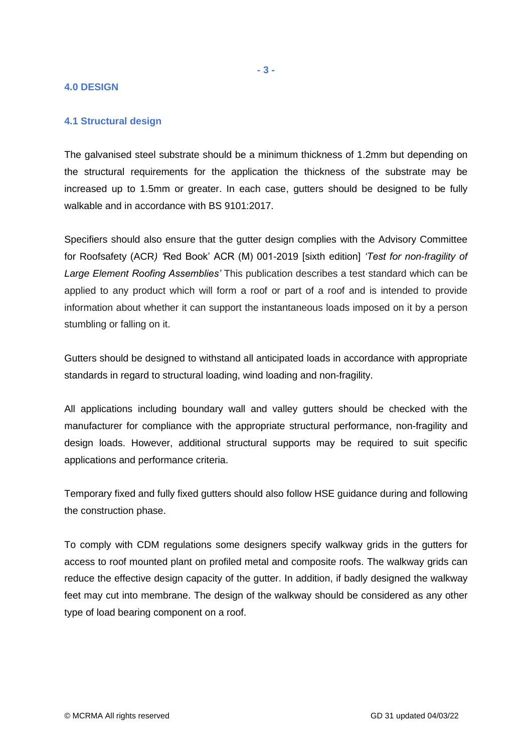### **4.0 DESIGN**

# **4.1 Structural design**

The galvanised steel substrate should be a minimum thickness of 1.2mm but depending on the structural requirements for the application the thickness of the substrate may be increased up to 1.5mm or greater. In each case, gutters should be designed to be fully walkable and in accordance with BS 9101:2017.

Specifiers should also ensure that the gutter design complies with the Advisory Committee for Roofsafety (ACR*) '*Red Book' ACR (M) 001-2019 [sixth edition] *'Test for non-fragility of Large Element Roofing Assemblies'* This publication describes a test standard which can be applied to any product which will form a roof or part of a roof and is intended to provide information about whether it can support the instantaneous loads imposed on it by a person stumbling or falling on it.

Gutters should be designed to withstand all anticipated loads in accordance with appropriate standards in regard to structural loading, wind loading and non-fragility.

All applications including boundary wall and valley gutters should be checked with the manufacturer for compliance with the appropriate structural performance, non-fragility and design loads. However, additional structural supports may be required to suit specific applications and performance criteria.

Temporary fixed and fully fixed gutters should also follow HSE guidance during and following the construction phase.

To comply with CDM regulations some designers specify walkway grids in the gutters for access to roof mounted plant on profiled metal and composite roofs. The walkway grids can reduce the effective design capacity of the gutter. In addition, if badly designed the walkway feet may cut into membrane. The design of the walkway should be considered as any other type of load bearing component on a roof.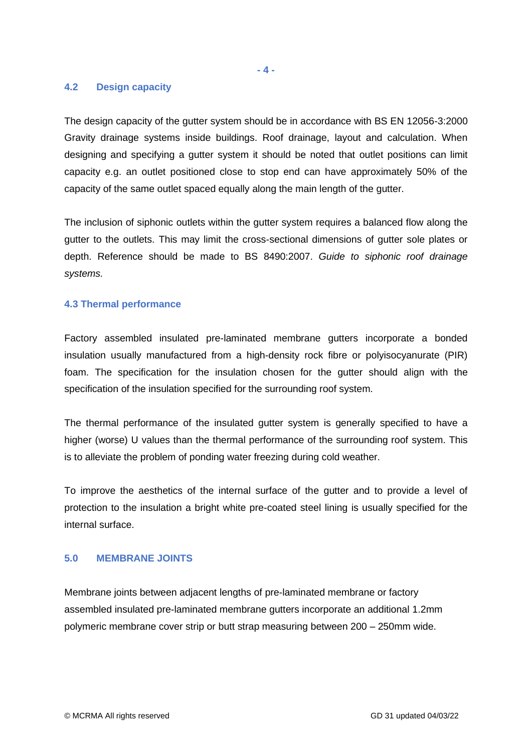#### **- 4 -**

## **4.2 Design capacity**

The design capacity of the gutter system should be in accordance with BS EN 12056-3:2000 Gravity drainage systems inside buildings. Roof drainage, layout and calculation. When designing and specifying a gutter system it should be noted that outlet positions can limit capacity e.g. an outlet positioned close to stop end can have approximately 50% of the capacity of the same outlet spaced equally along the main length of the gutter.

The inclusion of siphonic outlets within the gutter system requires a balanced flow along the gutter to the outlets. This may limit the cross-sectional dimensions of gutter sole plates or depth. Reference should be made to BS 8490:2007. *Guide to siphonic roof drainage systems.*

# **4.3 Thermal performance**

Factory assembled insulated pre-laminated membrane gutters incorporate a bonded insulation usually manufactured from a high-density rock fibre or polyisocyanurate (PIR) foam. The specification for the insulation chosen for the gutter should align with the specification of the insulation specified for the surrounding roof system.

The thermal performance of the insulated gutter system is generally specified to have a higher (worse) U values than the thermal performance of the surrounding roof system. This is to alleviate the problem of ponding water freezing during cold weather.

To improve the aesthetics of the internal surface of the gutter and to provide a level of protection to the insulation a bright white pre-coated steel lining is usually specified for the internal surface.

# **5.0 MEMBRANE JOINTS**

Membrane joints between adjacent lengths of pre-laminated membrane or factory assembled insulated pre-laminated membrane gutters incorporate an additional 1.2mm polymeric membrane cover strip or butt strap measuring between 200 – 250mm wide.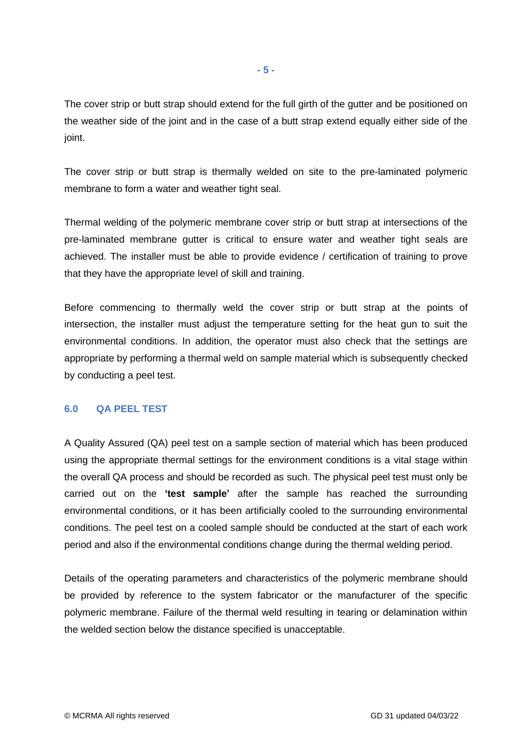The cover strip or butt strap should extend for the full girth of the gutter and be positioned on the weather side of the joint and in the case of a butt strap extend equally either side of the ioint.

The cover strip or butt strap is thermally welded on site to the pre-laminated polymeric membrane to form a water and weather tight seal.

Thermal welding of the polymeric membrane cover strip or butt strap at intersections of the pre-laminated membrane gutter is critical to ensure water and weather tight seals are achieved. The installer must be able to provide evidence / certification of training to prove that they have the appropriate level of skill and training.

Before commencing to thermally weld the cover strip or butt strap at the points of intersection, the installer must adjust the temperature setting for the heat gun to suit the environmental conditions. In addition, the operator must also check that the settings are appropriate by performing a thermal weld on sample material which is subsequently checked by conducting a peel test.

# **6.0 QA PEEL TEST**

A Quality Assured (QA) peel test on a sample section of material which has been produced using the appropriate thermal settings for the environment conditions is a vital stage within the overall QA process and should be recorded as such. The physical peel test must only be carried out on the **'test sample'** after the sample has reached the surrounding environmental conditions, or it has been artificially cooled to the surrounding environmental conditions. The peel test on a cooled sample should be conducted at the start of each work period and also if the environmental conditions change during the thermal welding period.

Details of the operating parameters and characteristics of the polymeric membrane should be provided by reference to the system fabricator or the manufacturer of the specific polymeric membrane. Failure of the thermal weld resulting in tearing or delamination within the welded section below the distance specified is unacceptable.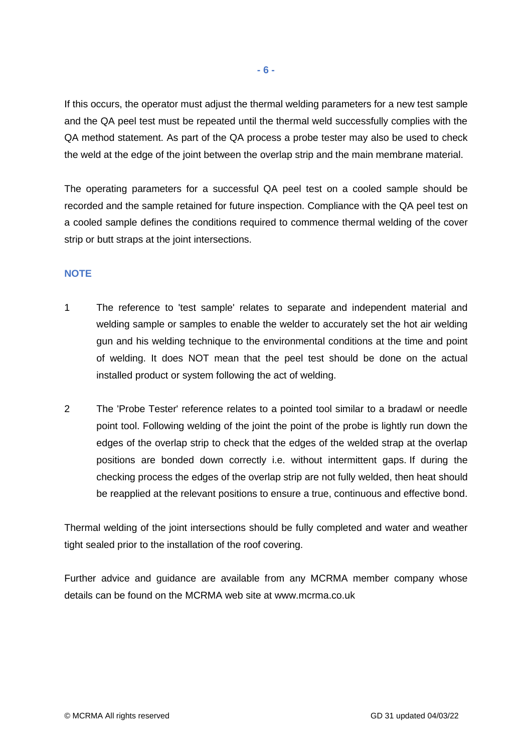If this occurs, the operator must adjust the thermal welding parameters for a new test sample and the QA peel test must be repeated until the thermal weld successfully complies with the QA method statement. As part of the QA process a probe tester may also be used to check the weld at the edge of the joint between the overlap strip and the main membrane material.

The operating parameters for a successful QA peel test on a cooled sample should be recorded and the sample retained for future inspection. Compliance with the QA peel test on a cooled sample defines the conditions required to commence thermal welding of the cover strip or butt straps at the joint intersections.

# **NOTE**

- 1 The reference to 'test sample' relates to separate and independent material and welding sample or samples to enable the welder to accurately set the hot air welding gun and his welding technique to the environmental conditions at the time and point of welding. It does NOT mean that the peel test should be done on the actual installed product or system following the act of welding.
- 2 The 'Probe Tester' reference relates to a pointed tool similar to a bradawl or needle point tool. Following welding of the joint the point of the probe is lightly run down the edges of the overlap strip to check that the edges of the welded strap at the overlap positions are bonded down correctly i.e. without intermittent gaps. If during the checking process the edges of the overlap strip are not fully welded, then heat should be reapplied at the relevant positions to ensure a true, continuous and effective bond.

Thermal welding of the joint intersections should be fully completed and water and weather tight sealed prior to the installation of the roof covering.

Further advice and guidance are available from any MCRMA member company whose details can be found on the MCRMA web site at [www.mcrma.co.uk](http://www.mcrma.co.uk/)

**- 6 -**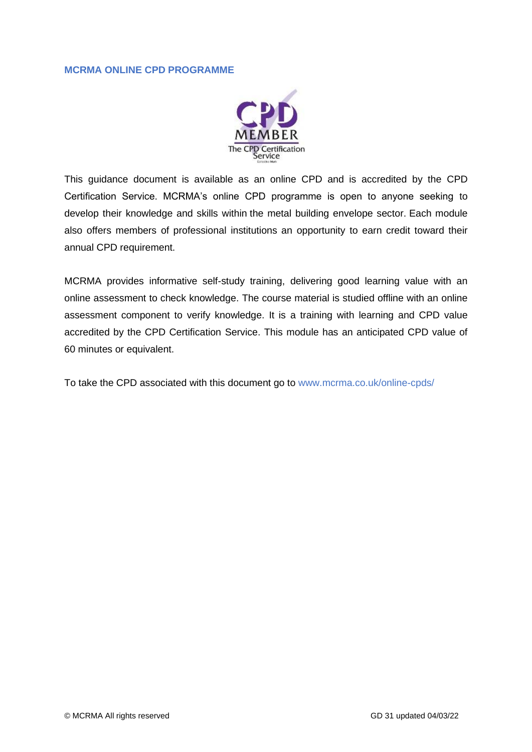# **MCRMA ONLINE CPD PROGRAMME**



This guidance document is available as an online CPD and is accredited by the CPD Certification Service. MCRMA's online CPD programme is open to anyone seeking to develop their knowledge and skills within the metal building envelope sector. Each module also offers members of professional institutions an opportunity to earn credit toward their annual CPD requirement.

MCRMA provides informative self-study training, delivering good learning value with an online assessment to check knowledge. The course material is studied offline with an online assessment component to verify knowledge. It is a training with learning and CPD value accredited by the CPD Certification Service. This module has an anticipated CPD value of 60 minutes or equivalent.

To take the CPD associated with this document go to [www.mcrma.co.uk/online-cpds/](http://www.mcrma.co.uk/online-cpds/)